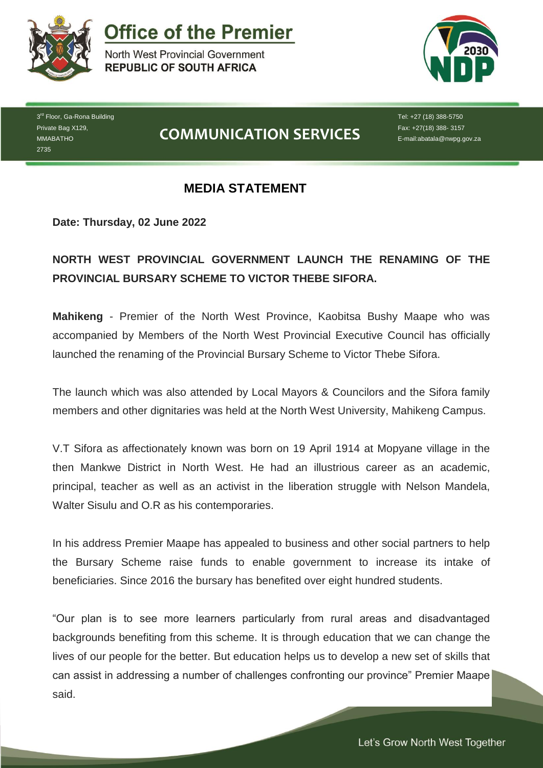

**Office of the Premier** 

North West Provincial Government **REPUBLIC OF SOUTH AFRICA** 



3<sup>rd</sup> Floor, Ga-Rona Building Private Bag X129, MMABATHO 2735

## **COMMUNICATION SERVICES**

Tel: +27 (18) 388-5750 Fax: +27(18) 388- 3157 E-mail:abatala@nwpg.gov.za

## **MEDIA STATEMENT**

**Date: Thursday, 02 June 2022**

## **NORTH WEST PROVINCIAL GOVERNMENT LAUNCH THE RENAMING OF THE PROVINCIAL BURSARY SCHEME TO VICTOR THEBE SIFORA.**

**Mahikeng** - Premier of the North West Province, Kaobitsa Bushy Maape who was accompanied by Members of the North West Provincial Executive Council has officially launched the renaming of the Provincial Bursary Scheme to Victor Thebe Sifora.

The launch which was also attended by Local Mayors & Councilors and the Sifora family members and other dignitaries was held at the North West University, Mahikeng Campus.

V.T Sifora as affectionately known was born on 19 April 1914 at Mopyane village in the then Mankwe District in North West. He had an illustrious career as an academic, principal, teacher as well as an activist in the liberation struggle with Nelson Mandela, Walter Sisulu and O.R as his contemporaries.

In his address Premier Maape has appealed to business and other social partners to help the Bursary Scheme raise funds to enable government to increase its intake of beneficiaries. Since 2016 the bursary has benefited over eight hundred students.

"Our plan is to see more learners particularly from rural areas and disadvantaged backgrounds benefiting from this scheme. It is through education that we can change the lives of our people for the better. But education helps us to develop a new set of skills that can assist in addressing a number of challenges confronting our province" Premier Maape said.

*Let's Grow North West Together*